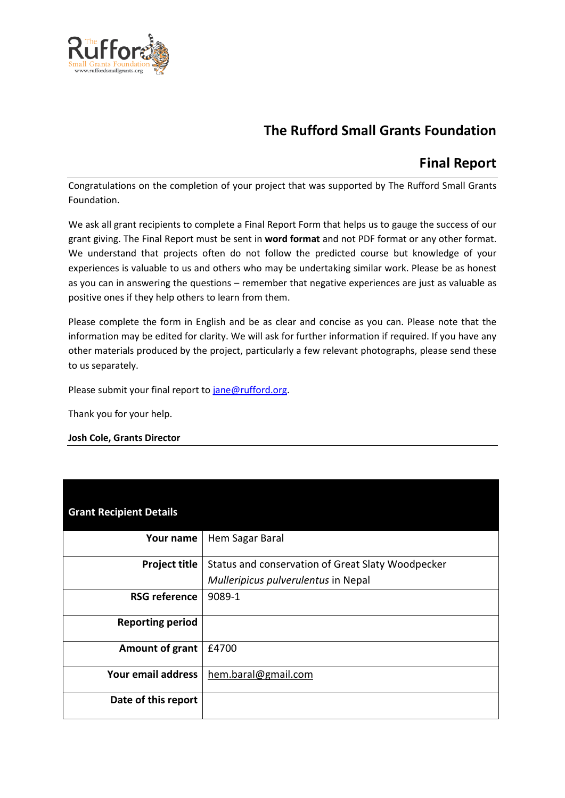

# **The Rufford Small Grants Foundation**

# **Final Report**

Congratulations on the completion of your project that was supported by The Rufford Small Grants Foundation.

We ask all grant recipients to complete a Final Report Form that helps us to gauge the success of our grant giving. The Final Report must be sent in **word format** and not PDF format or any other format. We understand that projects often do not follow the predicted course but knowledge of your experiences is valuable to us and others who may be undertaking similar work. Please be as honest as you can in answering the questions – remember that negative experiences are just as valuable as positive ones if they help others to learn from them.

Please complete the form in English and be as clear and concise as you can. Please note that the information may be edited for clarity. We will ask for further information if required. If you have any other materials produced by the project, particularly a few relevant photographs, please send these to us separately.

Please submit your final report to [jane@rufford.org.](mailto:jane@rufford.org)

Thank you for your help.

#### **Josh Cole, Grants Director**

| <b>Grant Recipient Details</b> |                                                   |
|--------------------------------|---------------------------------------------------|
| Your name                      | Hem Sagar Baral                                   |
| <b>Project title</b>           | Status and conservation of Great Slaty Woodpecker |
|                                | Mulleripicus pulverulentus in Nepal               |
| <b>RSG reference</b>           | 9089-1                                            |
| <b>Reporting period</b>        |                                                   |
| Amount of grant                | £4700                                             |
| Your email address             | hem.baral@gmail.com                               |
| Date of this report            |                                                   |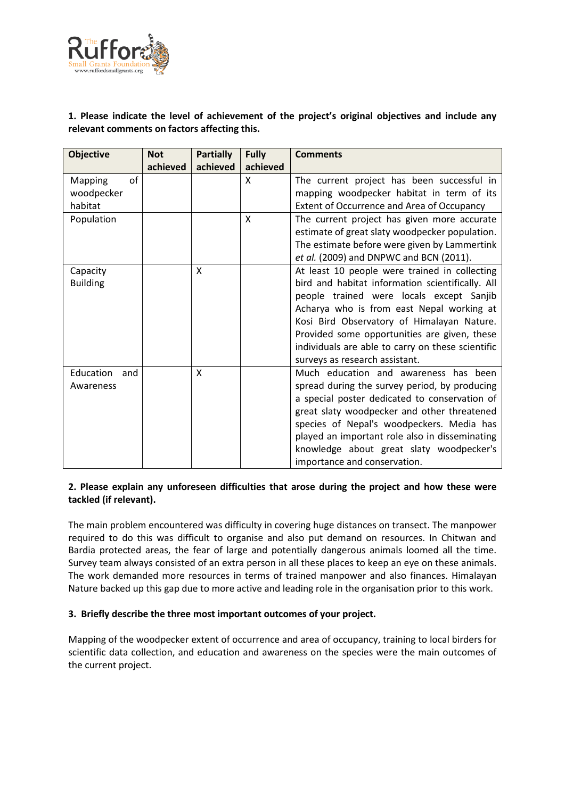

# **1. Please indicate the level of achievement of the project's original objectives and include any relevant comments on factors affecting this.**

| <b>Objective</b>                       | <b>Not</b> | <b>Partially</b>          | <b>Fully</b>  | <b>Comments</b>                                                                                                                                                                                                                                                                                                                                                                 |
|----------------------------------------|------------|---------------------------|---------------|---------------------------------------------------------------------------------------------------------------------------------------------------------------------------------------------------------------------------------------------------------------------------------------------------------------------------------------------------------------------------------|
| of<br>Mapping<br>woodpecker<br>habitat | achieved   | achieved                  | achieved<br>X | The current project has been successful in<br>mapping woodpecker habitat in term of its<br>Extent of Occurrence and Area of Occupancy                                                                                                                                                                                                                                           |
| Population                             |            |                           | X             | The current project has given more accurate<br>estimate of great slaty woodpecker population.<br>The estimate before were given by Lammertink<br>et al. (2009) and DNPWC and BCN (2011).                                                                                                                                                                                        |
| Capacity<br><b>Building</b>            |            | X                         |               | At least 10 people were trained in collecting<br>bird and habitat information scientifically. All<br>people trained were locals except Sanjib<br>Acharya who is from east Nepal working at<br>Kosi Bird Observatory of Himalayan Nature.<br>Provided some opportunities are given, these<br>individuals are able to carry on these scientific<br>surveys as research assistant. |
| Education<br>and<br>Awareness          |            | $\boldsymbol{\mathsf{X}}$ |               | Much education and awareness has been<br>spread during the survey period, by producing<br>a special poster dedicated to conservation of<br>great slaty woodpecker and other threatened<br>species of Nepal's woodpeckers. Media has<br>played an important role also in disseminating<br>knowledge about great slaty woodpecker's<br>importance and conservation.               |

### **2. Please explain any unforeseen difficulties that arose during the project and how these were tackled (if relevant).**

The main problem encountered was difficulty in covering huge distances on transect. The manpower required to do this was difficult to organise and also put demand on resources. In Chitwan and Bardia protected areas, the fear of large and potentially dangerous animals loomed all the time. Survey team always consisted of an extra person in all these places to keep an eye on these animals. The work demanded more resources in terms of trained manpower and also finances. Himalayan Nature backed up this gap due to more active and leading role in the organisation prior to this work.

# **3. Briefly describe the three most important outcomes of your project.**

Mapping of the woodpecker extent of occurrence and area of occupancy, training to local birders for scientific data collection, and education and awareness on the species were the main outcomes of the current project.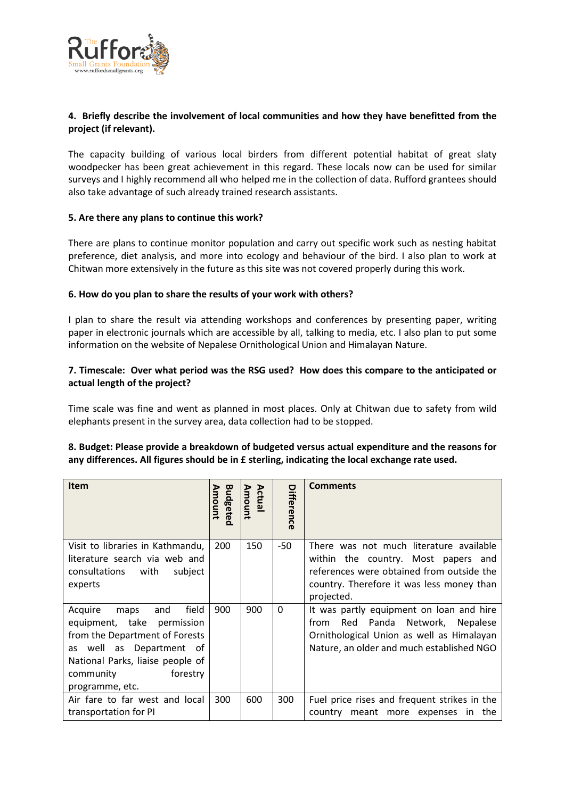

# **4. Briefly describe the involvement of local communities and how they have benefitted from the project (if relevant).**

The capacity building of various local birders from different potential habitat of great slaty woodpecker has been great achievement in this regard. These locals now can be used for similar surveys and I highly recommend all who helped me in the collection of data. Rufford grantees should also take advantage of such already trained research assistants.

### **5. Are there any plans to continue this work?**

There are plans to continue monitor population and carry out specific work such as nesting habitat preference, diet analysis, and more into ecology and behaviour of the bird. I also plan to work at Chitwan more extensively in the future as this site was not covered properly during this work.

### **6. How do you plan to share the results of your work with others?**

I plan to share the result via attending workshops and conferences by presenting paper, writing paper in electronic journals which are accessible by all, talking to media, etc. I also plan to put some information on the website of Nepalese Ornithological Union and Himalayan Nature.

### **7. Timescale: Over what period was the RSG used? How does this compare to the anticipated or actual length of the project?**

Time scale was fine and went as planned in most places. Only at Chitwan due to safety from wild elephants present in the survey area, data collection had to be stopped.

#### **8. Budget: Please provide a breakdown of budgeted versus actual expenditure and the reasons for any differences. All figures should be in £ sterling, indicating the local exchange rate used.**

| <b>Item</b>                                                                                                                                                                                                 | Amount          | <b>Amount</b><br>Actual |                   | <b>Comments</b>                                                                                                                                                                        |
|-------------------------------------------------------------------------------------------------------------------------------------------------------------------------------------------------------------|-----------------|-------------------------|-------------------|----------------------------------------------------------------------------------------------------------------------------------------------------------------------------------------|
|                                                                                                                                                                                                             | <b>Budgetec</b> |                         | <b>Difference</b> |                                                                                                                                                                                        |
| Visit to libraries in Kathmandu,<br>literature search via web and<br>subject<br>consultations<br>with<br>experts                                                                                            | 200             | 150                     | -50               | There was not much literature available<br>within the country. Most papers and<br>references were obtained from outside the<br>country. Therefore it was less money than<br>projected. |
| field<br>Acquire<br>and<br>maps<br>equipment, take permission<br>from the Department of Forests<br>as well as Department of<br>National Parks, liaise people of<br>forestry<br>community<br>programme, etc. | 900             | 900                     | 0                 | It was partly equipment on loan and hire<br>Red<br>Panda Network,<br>Nepalese<br>from<br>Ornithological Union as well as Himalayan<br>Nature, an older and much established NGO        |
| Air fare to far west and local<br>transportation for PI                                                                                                                                                     | 300             | 600                     | 300               | Fuel price rises and frequent strikes in the<br>country meant more expenses in the                                                                                                     |